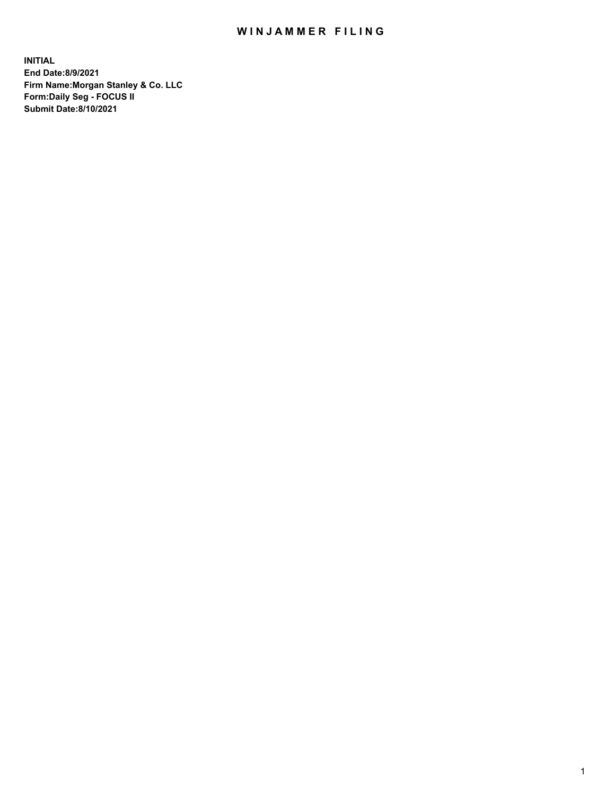## WIN JAMMER FILING

**INITIAL End Date:8/9/2021 Firm Name:Morgan Stanley & Co. LLC Form:Daily Seg - FOCUS II Submit Date:8/10/2021**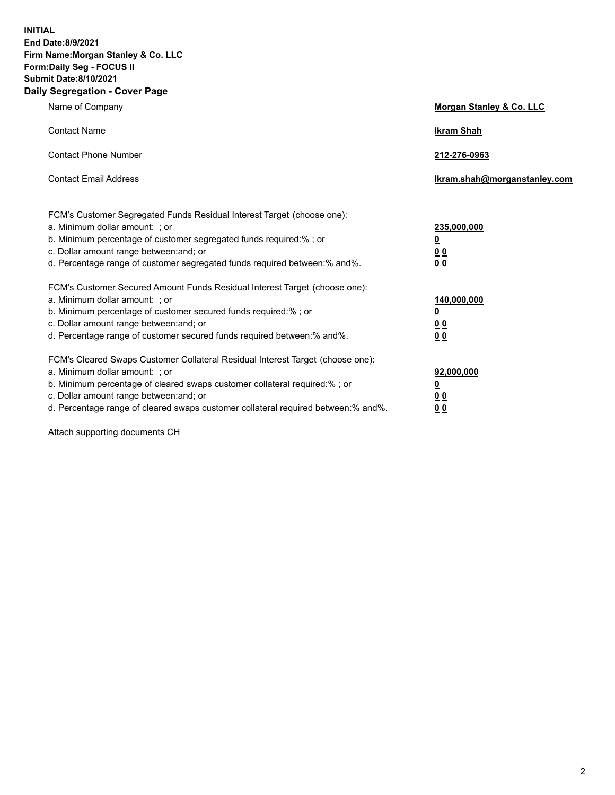**INITIAL End Date:8/9/2021 Firm Name:Morgan Stanley & Co. LLC Form:Daily Seg - FOCUS II Submit Date:8/10/2021 Daily Segregation - Cover Page**

| Name of Company                                                                                                                                                                                                                                                                                                                | Morgan Stanley & Co. LLC                                |
|--------------------------------------------------------------------------------------------------------------------------------------------------------------------------------------------------------------------------------------------------------------------------------------------------------------------------------|---------------------------------------------------------|
| <b>Contact Name</b>                                                                                                                                                                                                                                                                                                            | <b>Ikram Shah</b>                                       |
| <b>Contact Phone Number</b>                                                                                                                                                                                                                                                                                                    | 212-276-0963                                            |
| <b>Contact Email Address</b>                                                                                                                                                                                                                                                                                                   | Ikram.shah@morganstanley.com                            |
| FCM's Customer Segregated Funds Residual Interest Target (choose one):<br>a. Minimum dollar amount: ; or<br>b. Minimum percentage of customer segregated funds required:% ; or<br>c. Dollar amount range between: and; or<br>d. Percentage range of customer segregated funds required between:% and%.                         | 235,000,000<br><u>0</u><br>0 <sup>0</sup><br>00         |
| FCM's Customer Secured Amount Funds Residual Interest Target (choose one):<br>a. Minimum dollar amount: ; or<br>b. Minimum percentage of customer secured funds required:%; or<br>c. Dollar amount range between: and; or<br>d. Percentage range of customer secured funds required between:% and%.                            | 140,000,000<br><u>0</u><br><u>0 0</u><br>0 <sub>0</sub> |
| FCM's Cleared Swaps Customer Collateral Residual Interest Target (choose one):<br>a. Minimum dollar amount: ; or<br>b. Minimum percentage of cleared swaps customer collateral required:% ; or<br>c. Dollar amount range between: and; or<br>d. Percentage range of cleared swaps customer collateral required between:% and%. | 92,000,000<br><u>0</u><br><u>00</u><br>0 <sub>0</sub>   |

Attach supporting documents CH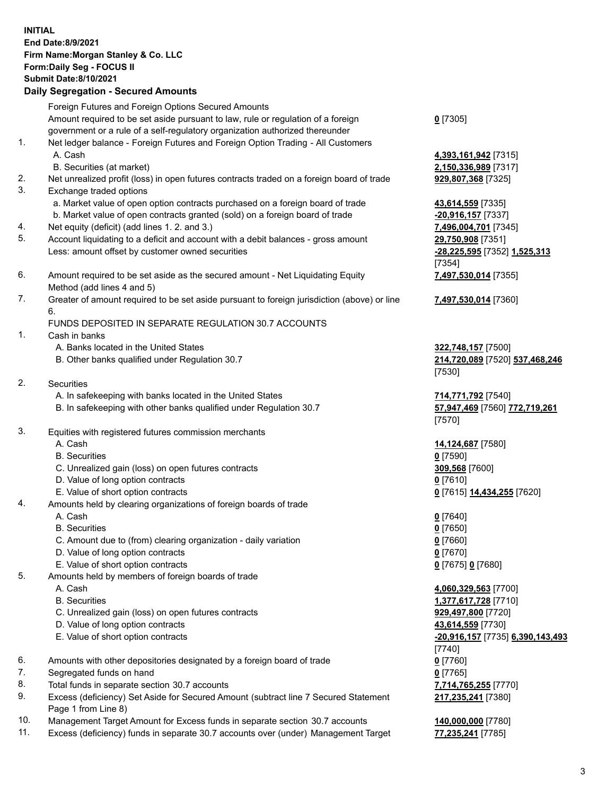## **INITIAL End Date:8/9/2021 Firm Name:Morgan Stanley & Co. LLC Form:Daily Seg - FOCUS II Submit Date:8/10/2021 Daily Segregation - Secured Amounts**

Foreign Futures and Foreign Options Secured Amounts Amount required to be set aside pursuant to law, rule or regulation of a foreign government or a rule of a self-regulatory organization authorized thereunder

- 1. Net ledger balance Foreign Futures and Foreign Option Trading All Customers A. Cash **4,393,161,942** [7315]
	- B. Securities (at market) **2,150,336,989** [7317]
- 2. Net unrealized profit (loss) in open futures contracts traded on a foreign board of trade **929,807,368** [7325]
- 3. Exchange traded options
	- a. Market value of open option contracts purchased on a foreign board of trade **43,614,559** [7335]
	- b. Market value of open contracts granted (sold) on a foreign board of trade **-20,916,157** [7337]
- 4. Net equity (deficit) (add lines 1. 2. and 3.) **7,496,004,701** [7345]
- 5. Account liquidating to a deficit and account with a debit balances gross amount **29,750,908** [7351] Less: amount offset by customer owned securities **-28,225,595** [7352] **1,525,313**
- 6. Amount required to be set aside as the secured amount Net Liquidating Equity Method (add lines 4 and 5)
- 7. Greater of amount required to be set aside pursuant to foreign jurisdiction (above) or line 6.

## FUNDS DEPOSITED IN SEPARATE REGULATION 30.7 ACCOUNTS

- 1. Cash in banks
	- A. Banks located in the United States **322,748,157** [7500]
	- B. Other banks qualified under Regulation 30.7 **214,720,089** [7520] **537,468,246**
- 2. Securities
	- A. In safekeeping with banks located in the United States **714,771,792** [7540]
	- B. In safekeeping with other banks qualified under Regulation 30.7 **57,947,469** [7560] **772,719,261**
- 3. Equities with registered futures commission merchants
	-
	- B. Securities **0** [7590]
	- C. Unrealized gain (loss) on open futures contracts **309,568** [7600]
	- D. Value of long option contracts **0** [7610]
	- E. Value of short option contracts **0** [7615] **14,434,255** [7620]
- 4. Amounts held by clearing organizations of foreign boards of trade
	-
	- B. Securities **0** [7650]
	- C. Amount due to (from) clearing organization daily variation **0** [7660]
	- D. Value of long option contracts **0** [7670]
	- E. Value of short option contracts **0** [7675] **0** [7680]
- 5. Amounts held by members of foreign boards of trade
	-
	-
	- C. Unrealized gain (loss) on open futures contracts **929,497,800** [7720]
	- D. Value of long option contracts **43,614,559** [7730]
	-
- 6. Amounts with other depositories designated by a foreign board of trade **0** [7760]
- 7. Segregated funds on hand **0** [7765]
- 8. Total funds in separate section 30.7 accounts **7,714,765,255** [7770]
- 9. Excess (deficiency) Set Aside for Secured Amount (subtract line 7 Secured Statement Page 1 from Line 8)
- 10. Management Target Amount for Excess funds in separate section 30.7 accounts **140,000,000** [7780]
- 11. Excess (deficiency) funds in separate 30.7 accounts over (under) Management Target **77,235,241** [7785]

**0** [7305]

[7354] **7,497,530,014** [7355]

**7,497,530,014** [7360]

[7530]

[7570]

A. Cash **14,124,687** [7580]

A. Cash **0** [7640]

 A. Cash **4,060,329,563** [7700] B. Securities **1,377,617,728** [7710] E. Value of short option contracts **-20,916,157** [7735] **6,390,143,493** [7740] **217,235,241** [7380]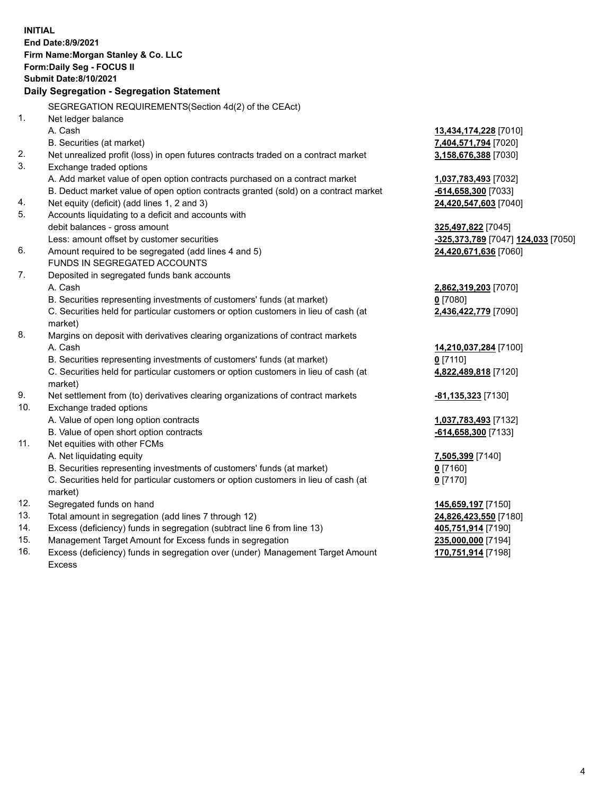**INITIAL End Date:8/9/2021 Firm Name:Morgan Stanley & Co. LLC Form:Daily Seg - FOCUS II Submit Date:8/10/2021 Daily Segregation - Segregation Statement** SEGREGATION REQUIREMENTS(Section 4d(2) of the CEAct) 1. Net ledger balance A. Cash **13,434,174,228** [7010] B. Securities (at market) **7,404,571,794** [7020] 2. Net unrealized profit (loss) in open futures contracts traded on a contract market **3,158,676,388** [7030] 3. Exchange traded options A. Add market value of open option contracts purchased on a contract market **1,037,783,493** [7032] B. Deduct market value of open option contracts granted (sold) on a contract market **-614,658,300** [7033] 4. Net equity (deficit) (add lines 1, 2 and 3) **24,420,547,603** [7040] 5. Accounts liquidating to a deficit and accounts with debit balances - gross amount **325,497,822** [7045] Less: amount offset by customer securities **-325,373,789** [7047] **124,033** [7050] 6. Amount required to be segregated (add lines 4 and 5) **24,420,671,636** [7060] FUNDS IN SEGREGATED ACCOUNTS 7. Deposited in segregated funds bank accounts A. Cash **2,862,319,203** [7070] B. Securities representing investments of customers' funds (at market) **0** [7080] C. Securities held for particular customers or option customers in lieu of cash (at market) **2,436,422,779** [7090] 8. Margins on deposit with derivatives clearing organizations of contract markets A. Cash **14,210,037,284** [7100] B. Securities representing investments of customers' funds (at market) **0** [7110] C. Securities held for particular customers or option customers in lieu of cash (at market) **4,822,489,818** [7120] 9. Net settlement from (to) derivatives clearing organizations of contract markets **-81,135,323** [7130] 10. Exchange traded options A. Value of open long option contracts **1,037,783,493** [7132] B. Value of open short option contracts **-614,658,300** [7133] 11. Net equities with other FCMs A. Net liquidating equity **7,505,399** [7140] B. Securities representing investments of customers' funds (at market) **0** [7160] C. Securities held for particular customers or option customers in lieu of cash (at market) **0** [7170] 12. Segregated funds on hand **145,659,197** [7150] 13. Total amount in segregation (add lines 7 through 12) **24,826,423,550** [7180] 14. Excess (deficiency) funds in segregation (subtract line 6 from line 13) **405,751,914** [7190] 15. Management Target Amount for Excess funds in segregation **235,000,000** [7194]

16. Excess (deficiency) funds in segregation over (under) Management Target Amount Excess

**170,751,914** [7198]